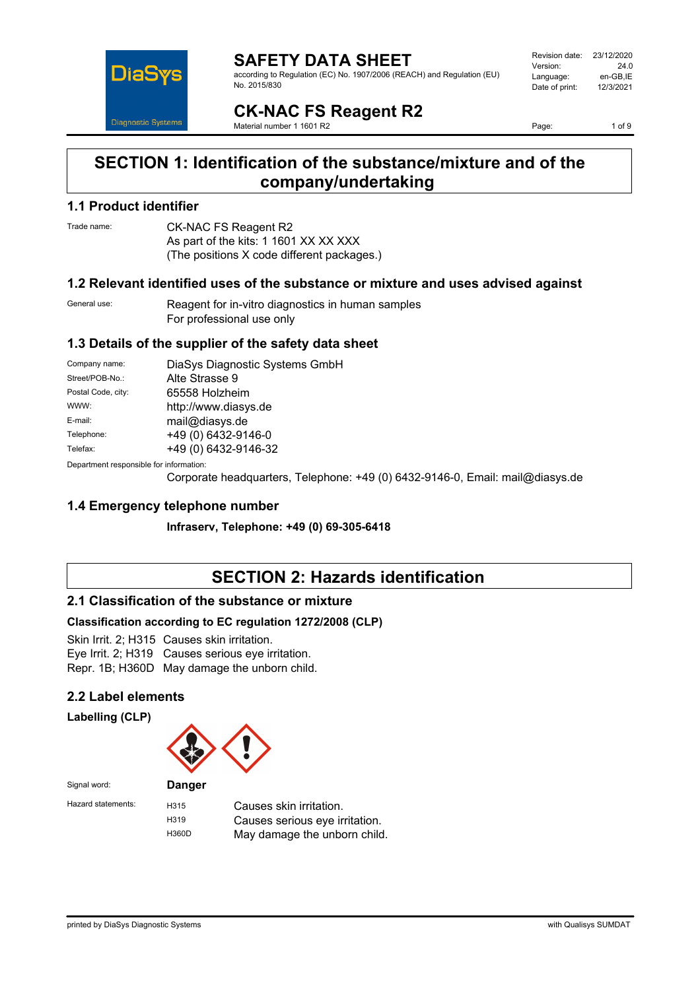

#### **SAFETY DATA SHEET** according to Regulation (EC) No. 1907/2006 (REACH) and Regulation (EU)

Revision date: 23/12/2020 Version: 24.0<br>Language: en-GB IE Language: en-GB,IE<br>Date of print: 12/3/2021 Date of print:

# **CK-NAC FS Reagent R2**

Material number 1 1601 R2

No. 2015/830

Page: 1 of 9

### **SECTION 1: Identification of the substance/mixture and of the company/undertaking**

### **1.1 Product identifier**

Trade name: **CK-NAC FS Reagent R2** As part of the kits: 1 1601 XX XX XXX (The positions X code different packages.)

### **1.2 Relevant identified uses of the substance or mixture and uses advised against**

General use: Reagent for in-vitro diagnostics in human samples For professional use only

### **1.3 Details of the supplier of the safety data sheet**

| Company name:                                                                                                                                                                                                                  | DiaSys Diagnostic Systems GmbH |
|--------------------------------------------------------------------------------------------------------------------------------------------------------------------------------------------------------------------------------|--------------------------------|
| Street/POB-No.:                                                                                                                                                                                                                | Alte Strasse 9                 |
| Postal Code, city:                                                                                                                                                                                                             | 65558 Holzheim                 |
| WWW:                                                                                                                                                                                                                           | http://www.diasys.de           |
| E-mail:                                                                                                                                                                                                                        | mail@diasys.de                 |
| Telephone:                                                                                                                                                                                                                     | +49 (0) 6432-9146-0            |
| Telefax:                                                                                                                                                                                                                       | +49 (0) 6432-9146-32           |
| Description of the control of the first control of the control of the control of the control of the control of the control of the control of the control of the control of the control of the control of the control of the co |                                |

Department responsible for information:

Corporate headquarters, Telephone: +49 (0) 6432-9146-0, Email: mail@diasys.de

### **1.4 Emergency telephone number**

**Infraserv, Telephone: +49 (0) 69-305-6418**

# **SECTION 2: Hazards identification**

### **2.1 Classification of the substance or mixture**

### **Classification according to EC regulation 1272/2008 (CLP)**

Skin Irrit. 2; H315 Causes skin irritation. Eye Irrit. 2; H319 Causes serious eye irritation.

Repr. 1B; H360D May damage the unborn child.

### **2.2 Label elements**

**Labelling (CLP)**



| Signal word:       | <b>Danger</b>     |                                |
|--------------------|-------------------|--------------------------------|
| Hazard statements: | H <sub>315</sub>  | Causes skin irritation.        |
|                    | H <sub>3</sub> 19 | Causes serious eye irritation. |
|                    | H360D             | May damage the unborn child.   |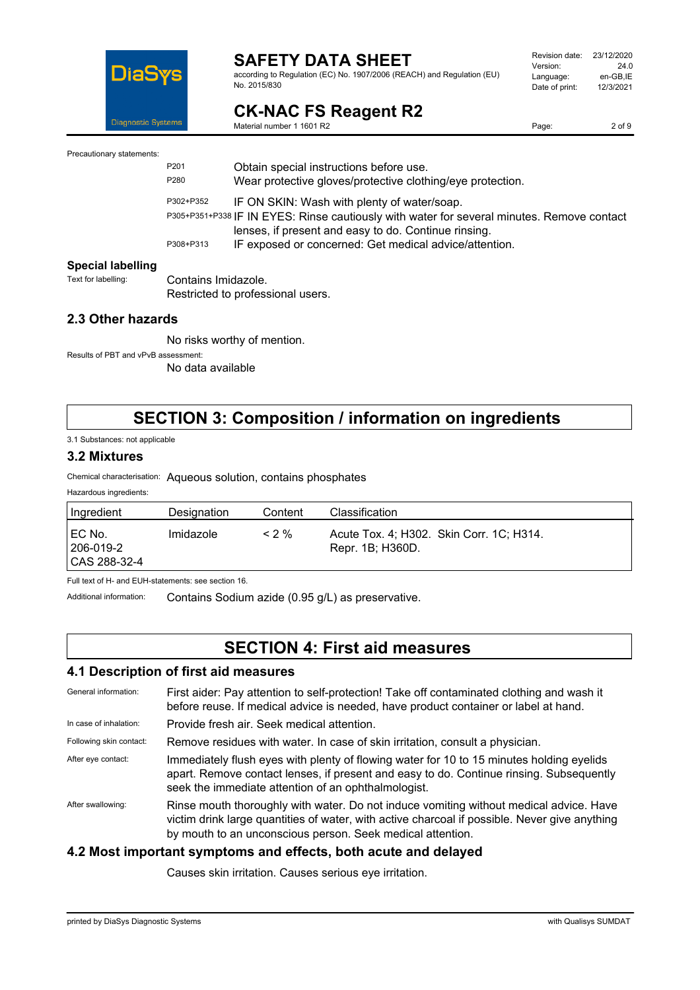

according to Regulation (EC) No. 1907/2006 (REACH) and Regulation (EU) No. 2015/830

| Revision date: | 23/12/2020 |
|----------------|------------|
| Version:       | 24 O       |
| Language:      | en-GB.IE   |
| Date of print: | 12/3/2021  |
|                |            |

### **CK-NAC FS Reagent R2** Material number 1 1601 R2

2 of 9

Precautionary statements:

P201 Obtain special instructions before use. P280 Wear protective gloves/protective clothing/eye protection. P302+P352 IF ON SKIN: Wash with plenty of water/soap. P305+P351+P338 IF IN EYES: Rinse cautiously with water for several minutes. Remove contact lenses, if present and easy to do. Continue rinsing. P308+P313 IF exposed or concerned: Get medical advice/attention.

# **Special labelling**<br>Text for labelling:

Contains Imidazole. Restricted to professional users.

### **2.3 Other hazards**

No risks worthy of mention.

Results of PBT and vPvB assessment:

No data available

### **SECTION 3: Composition / information on ingredients**

3.1 Substances: not applicable

### **3.2 Mixtures**

Chemical characterisation: Aqueous solution, contains phosphates

| Ingredient                            | Designation | Content | Classification                                               |
|---------------------------------------|-------------|---------|--------------------------------------------------------------|
| I EC No.<br>206-019-2<br>CAS 288-32-4 | Imidazole   | $< 2\%$ | Acute Tox. 4; H302. Skin Corr. 1C; H314.<br>Repr. 1B; H360D. |

Full text of H- and EUH-statements: see section 16.

Additional information: Contains Sodium azide (0.95 g/L) as preservative.

### **SECTION 4: First aid measures**

### **4.1 Description of first aid measures**

| General information:    | First aider: Pay attention to self-protection! Take off contaminated clothing and wash it<br>before reuse. If medical advice is needed, have product container or label at hand.                                                                      |
|-------------------------|-------------------------------------------------------------------------------------------------------------------------------------------------------------------------------------------------------------------------------------------------------|
| In case of inhalation:  | Provide fresh air. Seek medical attention.                                                                                                                                                                                                            |
| Following skin contact: | Remove residues with water. In case of skin irritation, consult a physician.                                                                                                                                                                          |
| After eye contact:      | Immediately flush eyes with plenty of flowing water for 10 to 15 minutes holding eyelids<br>apart. Remove contact lenses, if present and easy to do. Continue rinsing. Subsequently<br>seek the immediate attention of an ophthalmologist.            |
| After swallowing:       | Rinse mouth thoroughly with water. Do not induce vomiting without medical advice. Have<br>victim drink large quantities of water, with active charcoal if possible. Never give anything<br>by mouth to an unconscious person. Seek medical attention. |

### **4.2 Most important symptoms and effects, both acute and delayed**

Causes skin irritation. Causes serious eye irritation.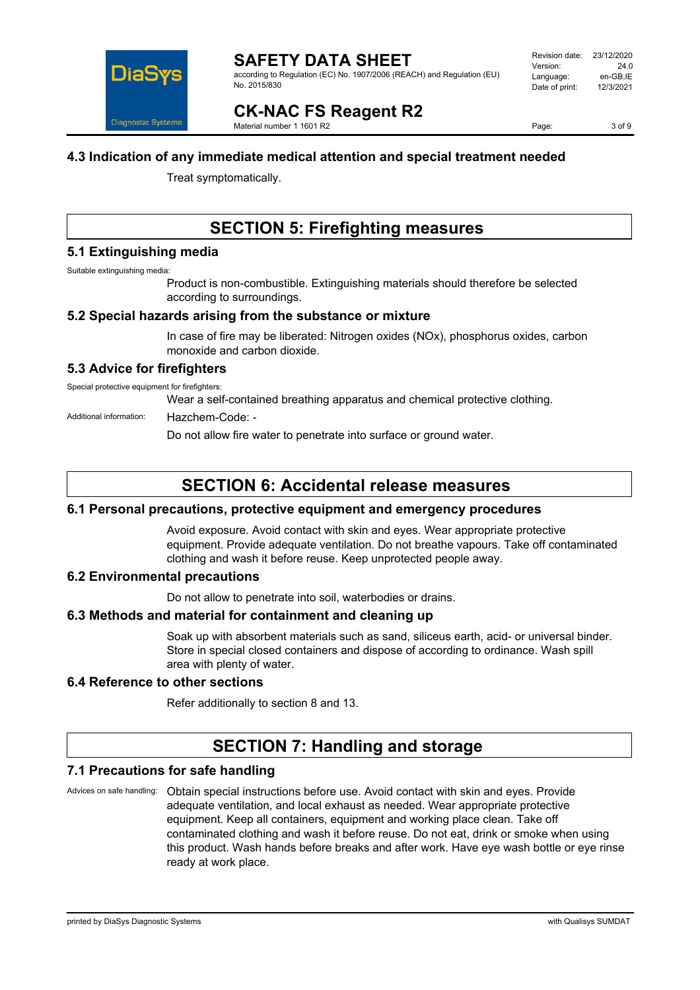

according to Regulation (EC) No. 1907/2006 (REACH) and Regulation (EU) No. 2015/830

**CK-NAC FS Reagent R2** Material number 1 1601 R2

Page: 3 of 9

### **4.3 Indication of any immediate medical attention and special treatment needed**

Treat symptomatically.

# **SECTION 5: Firefighting measures**

### **5.1 Extinguishing media**

Suitable extinguishing media:

Product is non-combustible. Extinguishing materials should therefore be selected according to surroundings.

### **5.2 Special hazards arising from the substance or mixture**

In case of fire may be liberated: Nitrogen oxides (NOx), phosphorus oxides, carbon monoxide and carbon dioxide.

### **5.3 Advice for firefighters**

Special protective equipment for firefighters:

Wear a self-contained breathing apparatus and chemical protective clothing.

#### Additional information: Hazchem-Code: -

Do not allow fire water to penetrate into surface or ground water.

# **SECTION 6: Accidental release measures**

### **6.1 Personal precautions, protective equipment and emergency procedures**

Avoid exposure. Avoid contact with skin and eyes. Wear appropriate protective equipment. Provide adequate ventilation. Do not breathe vapours. Take off contaminated clothing and wash it before reuse. Keep unprotected people away.

### **6.2 Environmental precautions**

Do not allow to penetrate into soil, waterbodies or drains.

### **6.3 Methods and material for containment and cleaning up**

Soak up with absorbent materials such as sand, siliceus earth, acid- or universal binder. Store in special closed containers and dispose of according to ordinance. Wash spill area with plenty of water.

### **6.4 Reference to other sections**

Refer additionally to section 8 and 13.

# **SECTION 7: Handling and storage**

### **7.1 Precautions for safe handling**

Advices on safe handling: Obtain special instructions before use. Avoid contact with skin and eyes. Provide adequate ventilation, and local exhaust as needed. Wear appropriate protective equipment. Keep all containers, equipment and working place clean. Take off contaminated clothing and wash it before reuse. Do not eat, drink or smoke when using this product. Wash hands before breaks and after work. Have eye wash bottle or eye rinse ready at work place.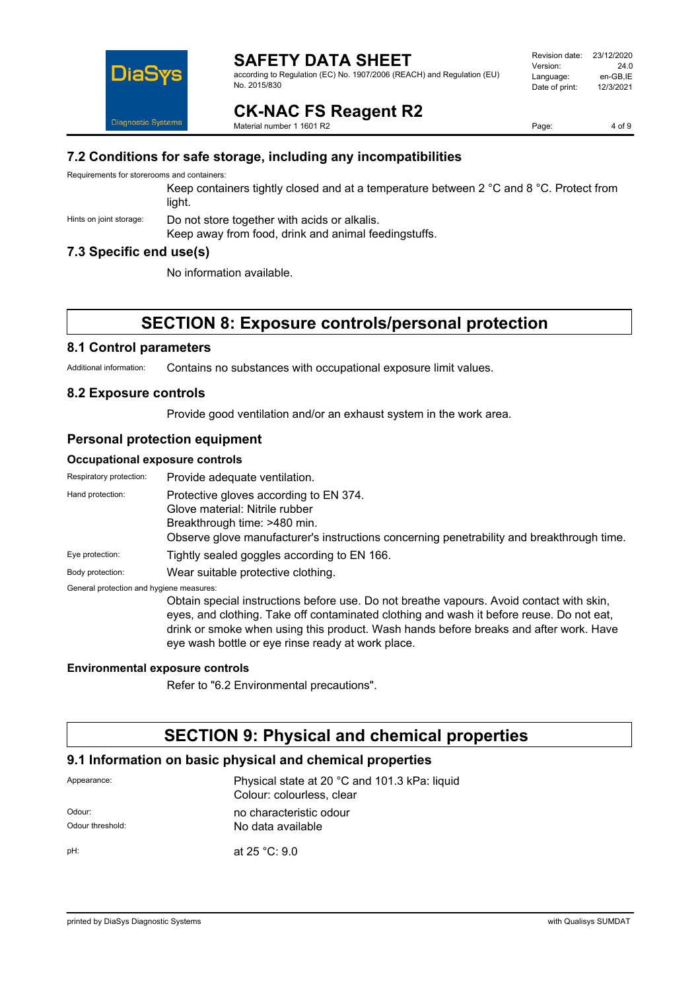

according to Regulation (EC) No. 1907/2006 (REACH) and Regulation (EU) No. 2015/830

| Revision date: | 23/12/2020 |
|----------------|------------|
| Version:       | 24 O       |
| Language:      | en-GB.IE   |
| Date of print: | 12/3/2021  |
|                |            |

**CK-NAC FS Reagent R2** Material number 1 1601 R2

Page: 4 of 9

### **7.2 Conditions for safe storage, including any incompatibilities**

Requirements for storerooms and containers:

Keep containers tightly closed and at a temperature between 2 °C and 8 °C. Protect from light.

Hints on joint storage: Do not store together with acids or alkalis.

Keep away from food, drink and animal feedingstuffs.

### **7.3 Specific end use(s)**

No information available.

# **SECTION 8: Exposure controls/personal protection**

### **8.1 Control parameters**

Additional information: Contains no substances with occupational exposure limit values.

### **8.2 Exposure controls**

Provide good ventilation and/or an exhaust system in the work area.

### **Personal protection equipment**

#### **Occupational exposure controls**

| Respiratory protection:                  | Provide adequate ventilation.                                                                                                                                                                         |
|------------------------------------------|-------------------------------------------------------------------------------------------------------------------------------------------------------------------------------------------------------|
| Hand protection:                         | Protective gloves according to EN 374.<br>Glove material: Nitrile rubber<br>Breakthrough time: >480 min.<br>Observe glove manufacturer's instructions concerning penetrability and breakthrough time. |
| Eye protection:                          | Tightly sealed goggles according to EN 166.                                                                                                                                                           |
| Body protection:                         | Wear suitable protective clothing.                                                                                                                                                                    |
| General protection and hygiene measures: |                                                                                                                                                                                                       |
|                                          | Obtain special instructions before use. Do not breathe vapours. Avoid contact with skin,<br>eyes, and clothing. Take off contaminated clothing and wash it before reuse. Do not eat,                  |

drink or smoke when using this product. Wash hands before breaks and after work. Have

#### **Environmental exposure controls**

Refer to "6.2 Environmental precautions".

eye wash bottle or eye rinse ready at work place.

### **SECTION 9: Physical and chemical properties**

### **9.1 Information on basic physical and chemical properties**

| Appearance:      | Physical state at 20 °C and 101.3 kPa: liquid<br>Colour: colourless, clear |  |
|------------------|----------------------------------------------------------------------------|--|
| Odour:           | no characteristic odour                                                    |  |
| Odour threshold: | No data available                                                          |  |
| pH:              | at $25 °C$ : 9.0                                                           |  |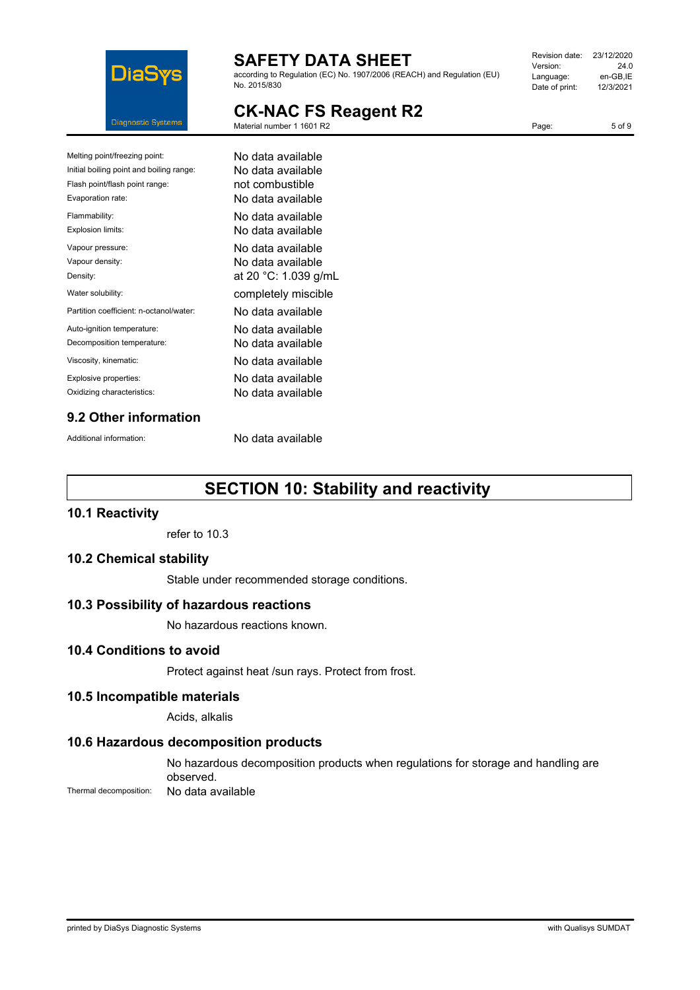

according to Regulation (EC) No. 1907/2006 (REACH) and Regulation (EU) No. 2015/830

| Revision date: | 23/12/2020 |
|----------------|------------|
| Version:       | 24 O       |
| Language:      | en-GB.IE   |
| Date of print: | 12/3/2021  |
|                |            |

Page: 5 of 9

# **CK-NAC FS Reagent R2**

Material number 1 1601 R2

| <b>CK-NAC FS Reagent R2</b> |  |  |
|-----------------------------|--|--|
|-----------------------------|--|--|

| Melting point/freezing point:            | No data available    |
|------------------------------------------|----------------------|
| Initial boiling point and boiling range: | No data available    |
| Flash point/flash point range:           | not combustible      |
| Evaporation rate:                        | No data available    |
| Flammability:                            | No data available    |
| Explosion limits:                        | No data available    |
| Vapour pressure:                         | No data available    |
| Vapour density:                          | No data available    |
| Density:                                 | at 20 °C: 1.039 g/mL |
| Water solubility:                        | completely miscible  |
| Partition coefficient: n-octanol/water:  | No data available    |
| Auto-ignition temperature:               | No data available    |
| Decomposition temperature:               | No data available    |
| Viscosity, kinematic:                    | No data available    |
| Explosive properties:                    | No data available    |
| Oxidizing characteristics:               | No data available    |
|                                          |                      |

### **9.2 Other information**

Additional information: No data available

# **SECTION 10: Stability and reactivity**

### **10.1 Reactivity**

refer to 10.3

### **10.2 Chemical stability**

Stable under recommended storage conditions.

### **10.3 Possibility of hazardous reactions**

No hazardous reactions known.

### **10.4 Conditions to avoid**

Protect against heat /sun rays. Protect from frost.

### **10.5 Incompatible materials**

Acids, alkalis

### **10.6 Hazardous decomposition products**

No hazardous decomposition products when regulations for storage and handling are observed.

Thermal decomposition: No data available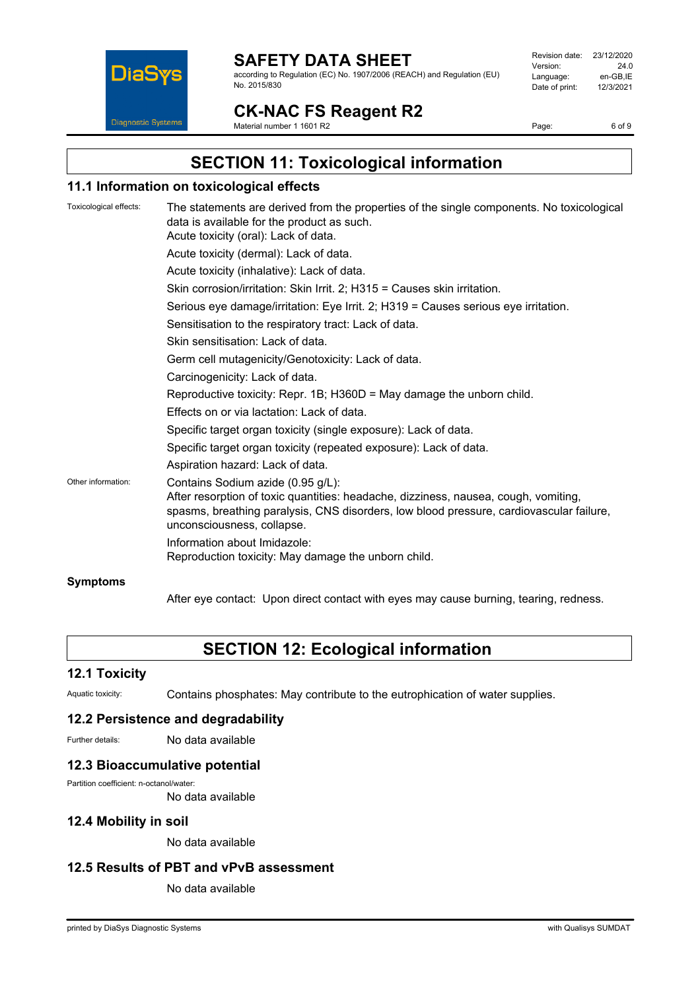

according to Regulation (EC) No. 1907/2006 (REACH) and Regulation (EU) No. 2015/830

| Revision date: | 23/12/2020 |
|----------------|------------|
| Version:       | 24 O       |
| Language:      | en-GB.IE   |
| Date of print: | 12/3/2021  |
|                |            |

# **CK-NAC FS Reagent R2**

Material number 1 1601 R2

Page: 6 of 9

# **SECTION 11: Toxicological information**

### **11.1 Information on toxicological effects**

| Toxicological effects: | The statements are derived from the properties of the single components. No toxicological<br>data is available for the product as such.<br>Acute toxicity (oral): Lack of data.                                                                   |
|------------------------|---------------------------------------------------------------------------------------------------------------------------------------------------------------------------------------------------------------------------------------------------|
|                        | Acute toxicity (dermal): Lack of data.                                                                                                                                                                                                            |
|                        | Acute toxicity (inhalative): Lack of data.                                                                                                                                                                                                        |
|                        | Skin corrosion/irritation: Skin Irrit. 2; H315 = Causes skin irritation.                                                                                                                                                                          |
|                        | Serious eye damage/irritation: Eye Irrit. 2; H319 = Causes serious eye irritation.                                                                                                                                                                |
|                        | Sensitisation to the respiratory tract: Lack of data.                                                                                                                                                                                             |
|                        | Skin sensitisation: Lack of data.                                                                                                                                                                                                                 |
|                        | Germ cell mutagenicity/Genotoxicity: Lack of data.                                                                                                                                                                                                |
|                        | Carcinogenicity: Lack of data.                                                                                                                                                                                                                    |
|                        | Reproductive toxicity: Repr. 1B; $H360D = May$ damage the unborn child.                                                                                                                                                                           |
|                        | Effects on or via lactation: Lack of data.                                                                                                                                                                                                        |
|                        | Specific target organ toxicity (single exposure): Lack of data.                                                                                                                                                                                   |
|                        | Specific target organ toxicity (repeated exposure): Lack of data.                                                                                                                                                                                 |
|                        | Aspiration hazard: Lack of data.                                                                                                                                                                                                                  |
| Other information:     | Contains Sodium azide (0.95 g/L):<br>After resorption of toxic quantities: headache, dizziness, nausea, cough, vomiting,<br>spasms, breathing paralysis, CNS disorders, low blood pressure, cardiovascular failure,<br>unconsciousness, collapse. |
|                        | Information about Imidazole:<br>Reproduction toxicity: May damage the unborn child.                                                                                                                                                               |
| <b>Symptoms</b>        |                                                                                                                                                                                                                                                   |

After eye contact: Upon direct contact with eyes may cause burning, tearing, redness.

# **SECTION 12: Ecological information**

### **12.1 Toxicity**

Aquatic toxicity: Contains phosphates: May contribute to the eutrophication of water supplies.

### **12.2 Persistence and degradability**

Further details: No data available

### **12.3 Bioaccumulative potential**

Partition coefficient: n-octanol/water:

No data available

### **12.4 Mobility in soil**

No data available

### **12.5 Results of PBT and vPvB assessment**

No data available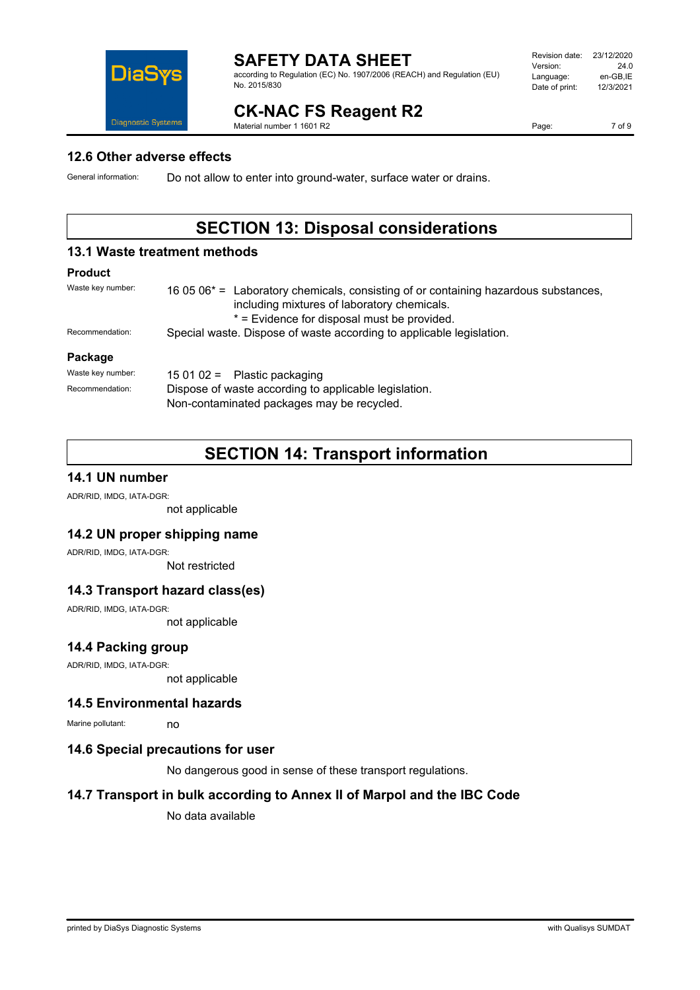

according to Regulation (EC) No. 1907/2006 (REACH) and Regulation (EU) No. 2015/830

| Revision date: | 23/12/2020 |
|----------------|------------|
| Version:       | 24 O       |
| Language:      | en-GB.IE   |
| Date of print: | 12/3/2021  |
|                |            |

# **CK-NAC FS Reagent R2**

Material number 1 1601 R2

Page: 7 of 9

### **12.6 Other adverse effects**

General information: Do not allow to enter into ground-water, surface water or drains.

Non-contaminated packages may be recycled.

# **SECTION 13: Disposal considerations**

### **13.1 Waste treatment methods**

### **Product**

| Waste key number: | 16 05 $06*$ = Laboratory chemicals, consisting of or containing hazardous substances,<br>including mixtures of laboratory chemicals.<br>* = Evidence for disposal must be provided. |  |
|-------------------|-------------------------------------------------------------------------------------------------------------------------------------------------------------------------------------|--|
| Recommendation:   | Special waste. Dispose of waste according to applicable legislation.                                                                                                                |  |
| Package           |                                                                                                                                                                                     |  |
| Waste key number: | 15 01 02 = Plastic packaging                                                                                                                                                        |  |
| Recommendation:   | Dispose of waste according to applicable legislation.                                                                                                                               |  |

# **SECTION 14: Transport information**

### **14.1 UN number**

ADR/RID, IMDG, IATA-DGR:

not applicable

### **14.2 UN proper shipping name**

ADR/RID, IMDG, IATA-DGR:

Not restricted

### **14.3 Transport hazard class(es)**

ADR/RID, IMDG, IATA-DGR:

not applicable

### **14.4 Packing group**

ADR/RID, IMDG, IATA-DGR:

not applicable

### **14.5 Environmental hazards**

Marine pollutant: no

### **14.6 Special precautions for user**

No dangerous good in sense of these transport regulations.

### **14.7 Transport in bulk according to Annex II of Marpol and the IBC Code**

No data available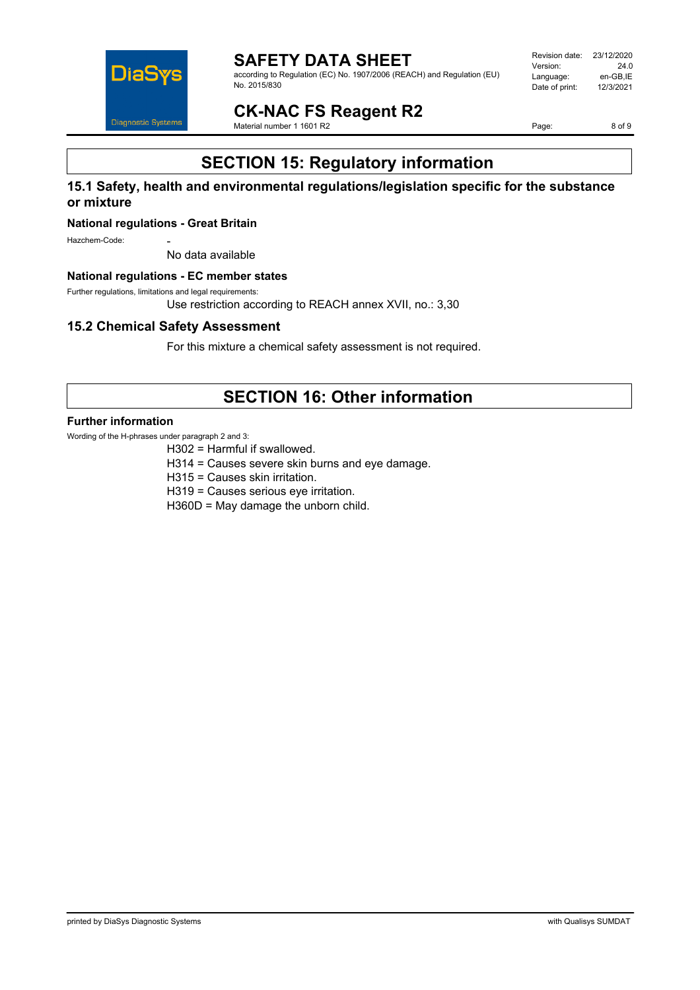

according to Regulation (EC) No. 1907/2006 (REACH) and Regulation (EU) No. 2015/830

| Revision date: | 23/12/2020 |
|----------------|------------|
| Version:       | 24.0       |
| Language:      | en-GB.IE   |
| Date of print: | 12/3/2021  |
|                |            |

**CK-NAC FS Reagent R2** Material number 1 1601 R2

Page: 8 of 9

# **SECTION 15: Regulatory information**

### **15.1 Safety, health and environmental regulations/legislation specific for the substance or mixture**

#### **National regulations - Great Britain**

Hazchem-Code<sup>.</sup>

No data available

#### **National regulations - EC member states**

Further regulations, limitations and legal requirements:

Use restriction according to REACH annex XVII, no.: 3,30

### **15.2 Chemical Safety Assessment**

For this mixture a chemical safety assessment is not required.

# **SECTION 16: Other information**

#### **Further information**

Wording of the H-phrases under paragraph 2 and 3:

H302 = Harmful if swallowed.

H314 = Causes severe skin burns and eye damage.

H315 = Causes skin irritation.

H319 = Causes serious eye irritation.

H360D = May damage the unborn child.